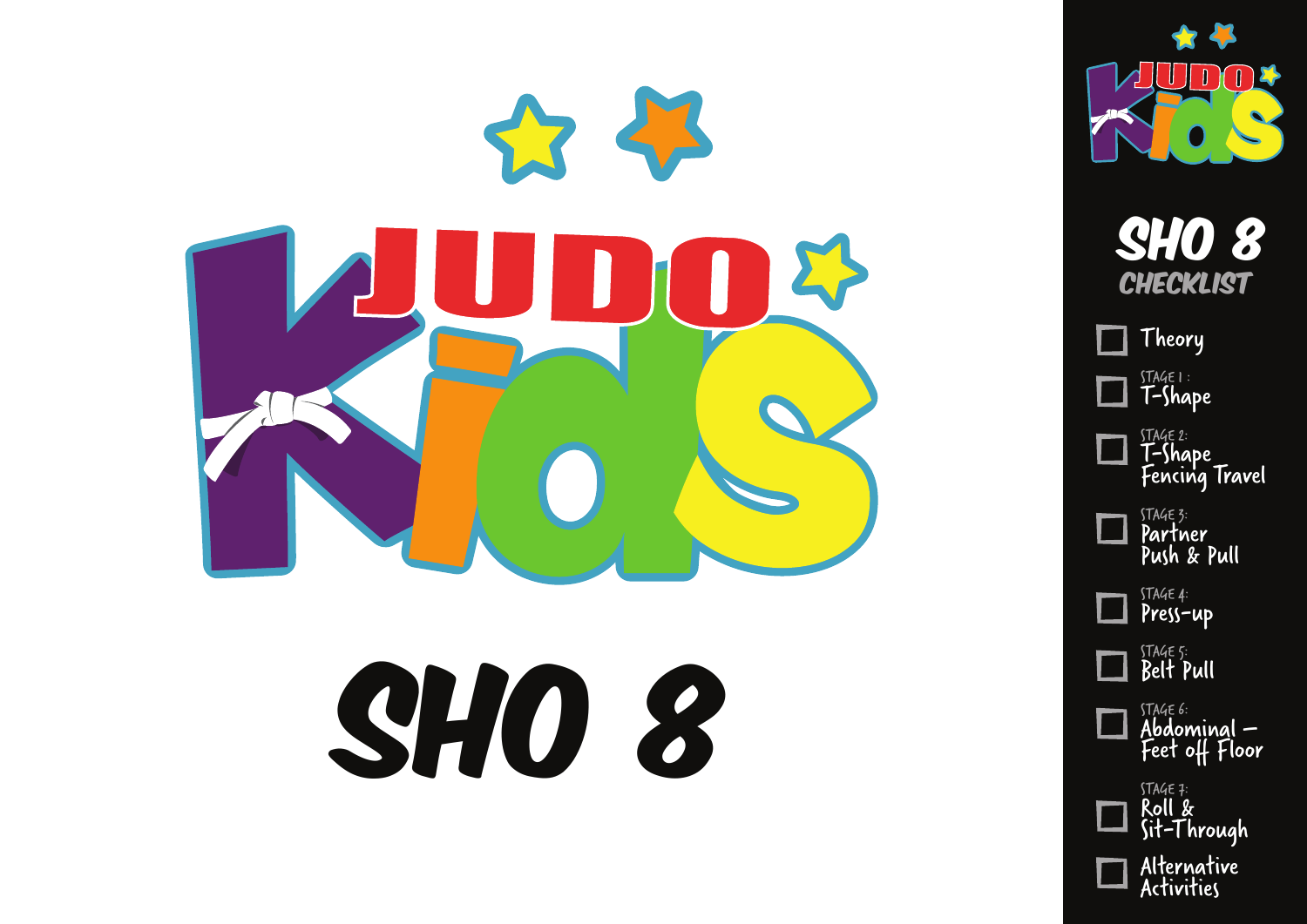

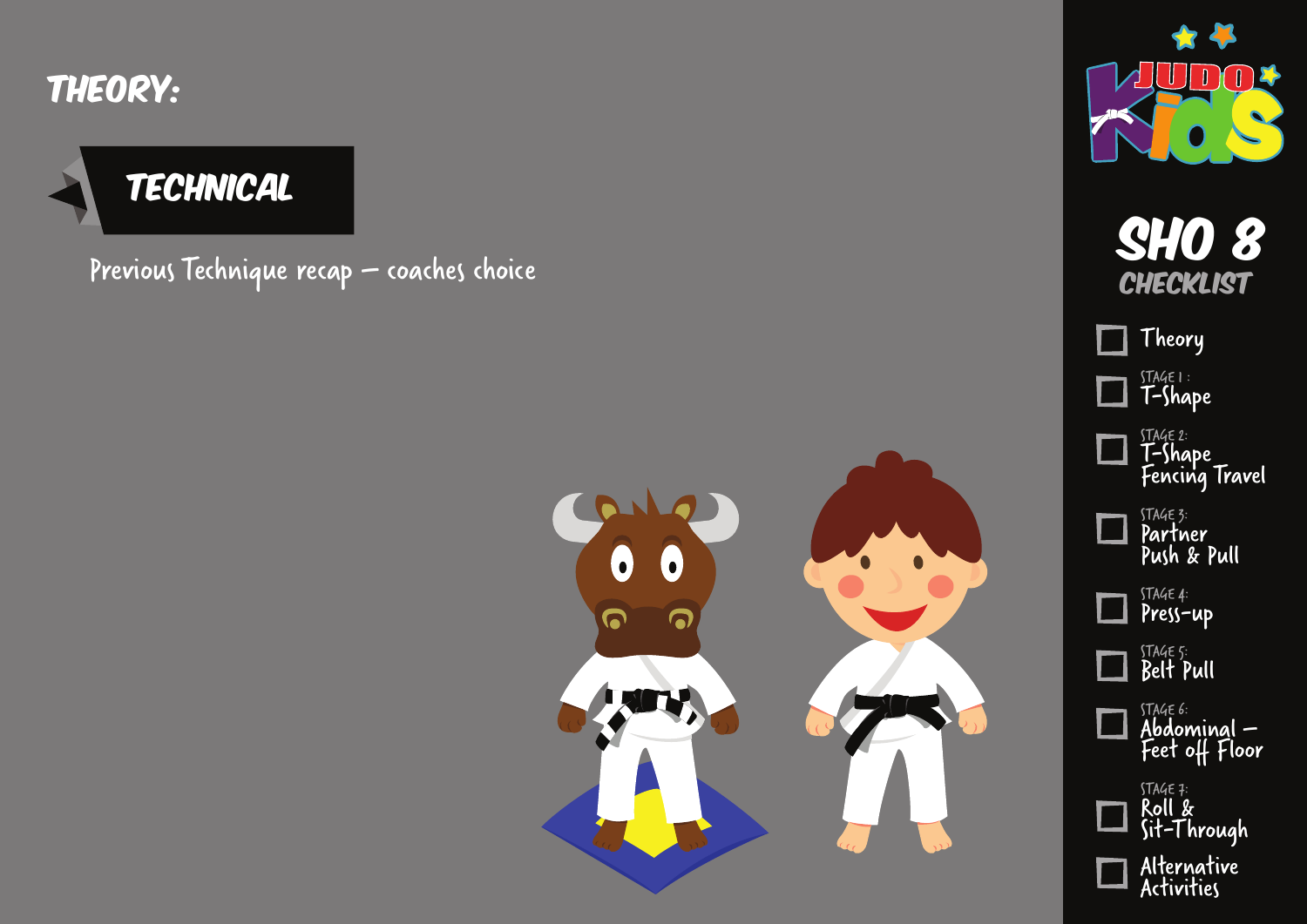Theory:

#### **TECHNICAL**

Previous Technique recap – coaches choice Show 8 and the show of the Show Berline Show 8 and Show 10 and Show 1





**CHECKLIST** 

STAGE 1 : T-Shape

Theory

STAGE 2: T-Shape

STAGE 3: Partner Push & Pull

STAGE 4: Press-up

STAGE 5: Belt Pull

STAGE 6:

STAGE 7: Roll &

Abdominal – Feet off Floor

Sit-Through

Alternative Activities

Fencing Travel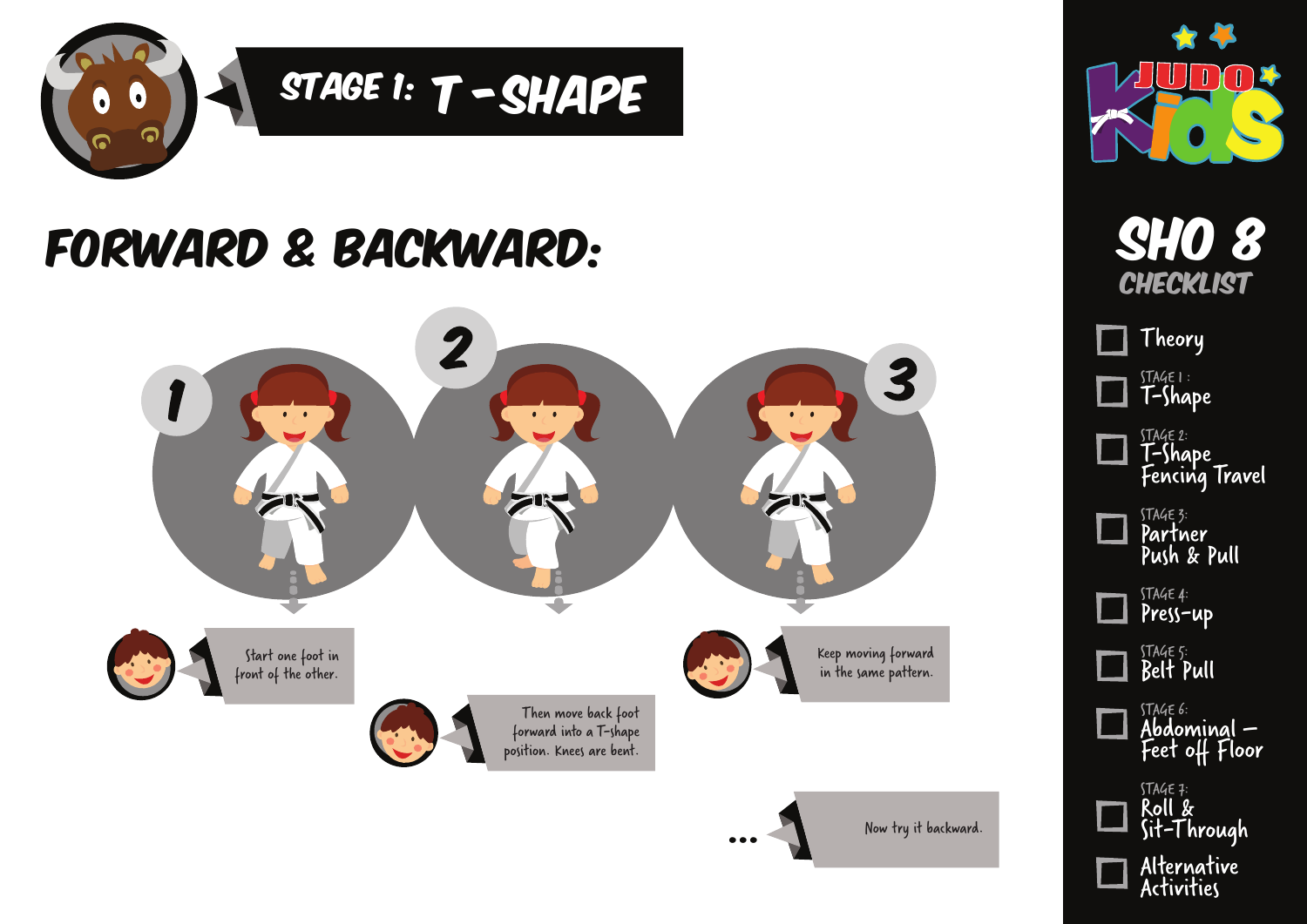

#### Forward & Backward:





STAGE 1 : T-Shape

**Theory** 

STAGE 2: T-Shape

STAGE 3: Partner Push & Pull

STAGE 4: Press-up

STAGE 5: Belt Pull

STAGE 6:

STAGE 7: Roll &

Abdominal – Feet off Floor

Sit-Through

Alternative Activities

Fencing Travel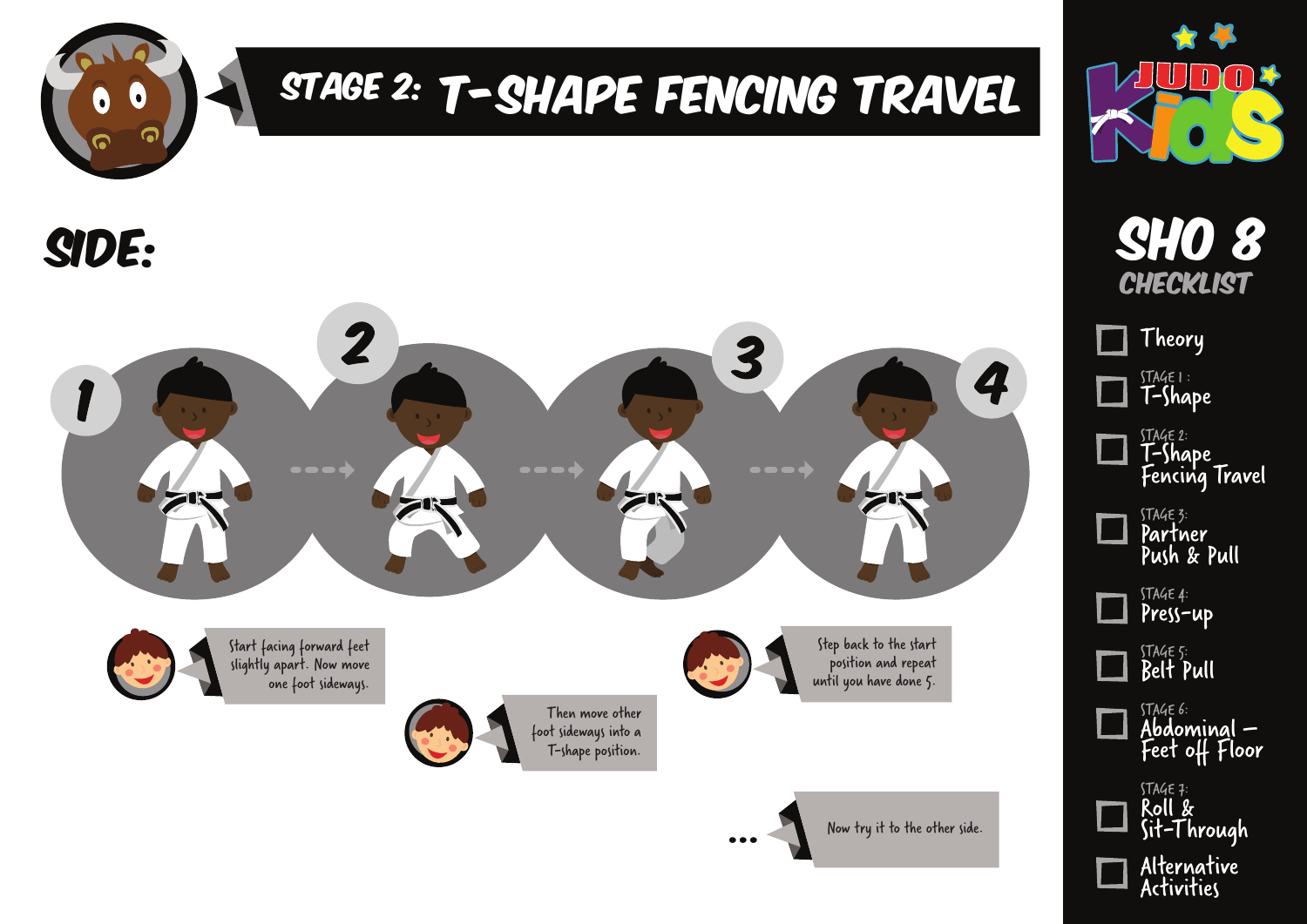

## STAGE 2: T-SHAPE FENCING TRAVEL

side:





SHO 8 **CHECKLIST** 

STAGE 1 : T-Shape STAGE 2: T-Shape Fencing Travel STAGE 3: Partner Theory

Push & Pull

| <b>γρ</b><br>V<br>∽<br>۷ |
|--------------------------|
|                          |

STAGE 5: Belt Pull

STAGE 6: Abdominal – Feet off Floor

Press-up



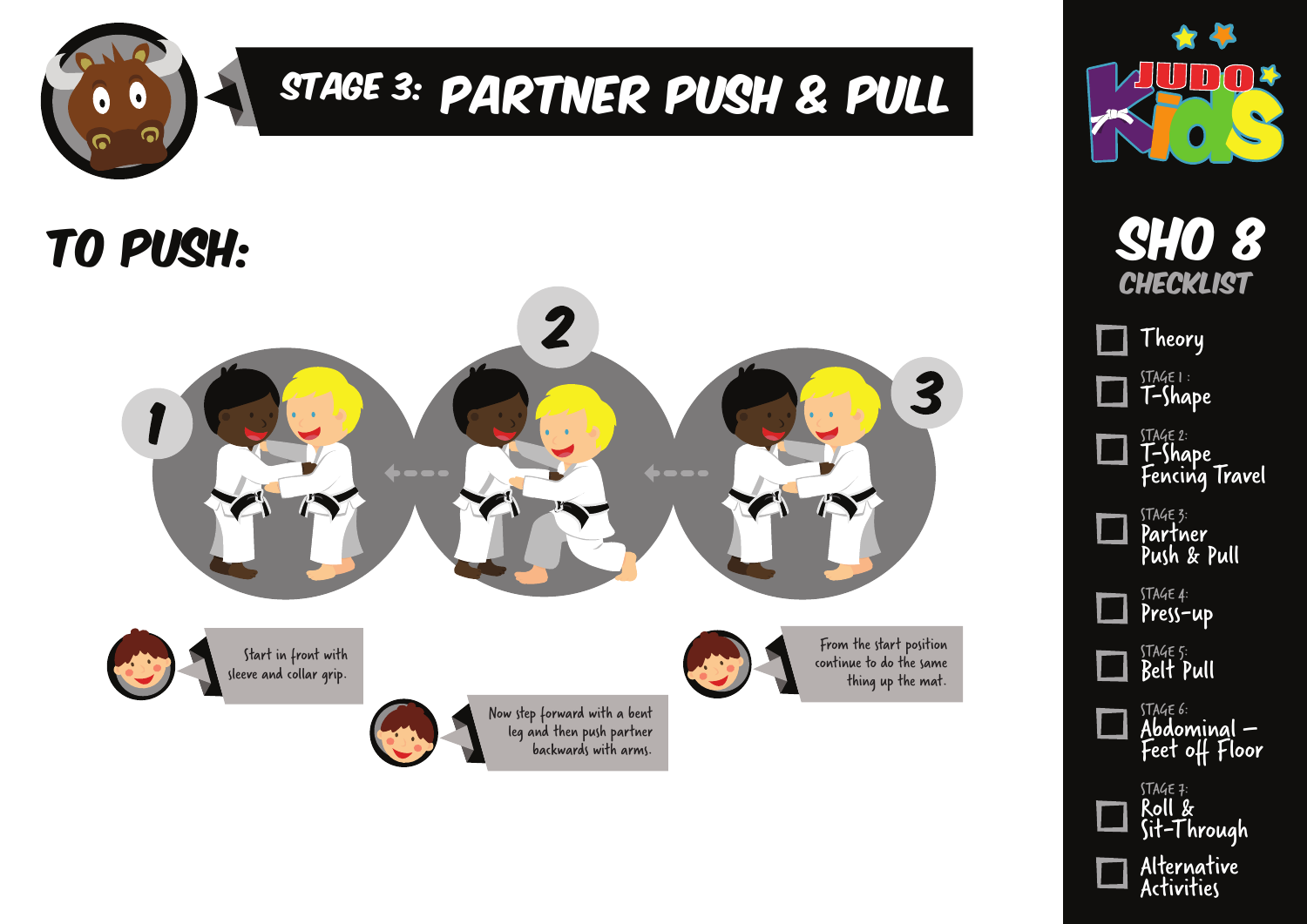

# Stage 3: Partner PUsh & Pull

### to Push: Sho 8







|   | Theory                                               |
|---|------------------------------------------------------|
| Ø | stage i :<br><b>T-Shape</b>                          |
|   | <sup>stage 2:</sup><br>T-Shape<br>Fencing Travel     |
|   | STAGE 3:<br><b>Partner</b><br>Push & Pull            |
|   | STAGE 4:<br>Press-up                                 |
|   | STAGE 5:<br><b>Belt Pull</b>                         |
|   | <sup>stage 6:</sup><br>Abdominal —<br>Feet off Floor |
|   | STAGE 7:<br>Roll &                                   |

| Sit-Through               |
|---------------------------|
| Alternative<br>Activities |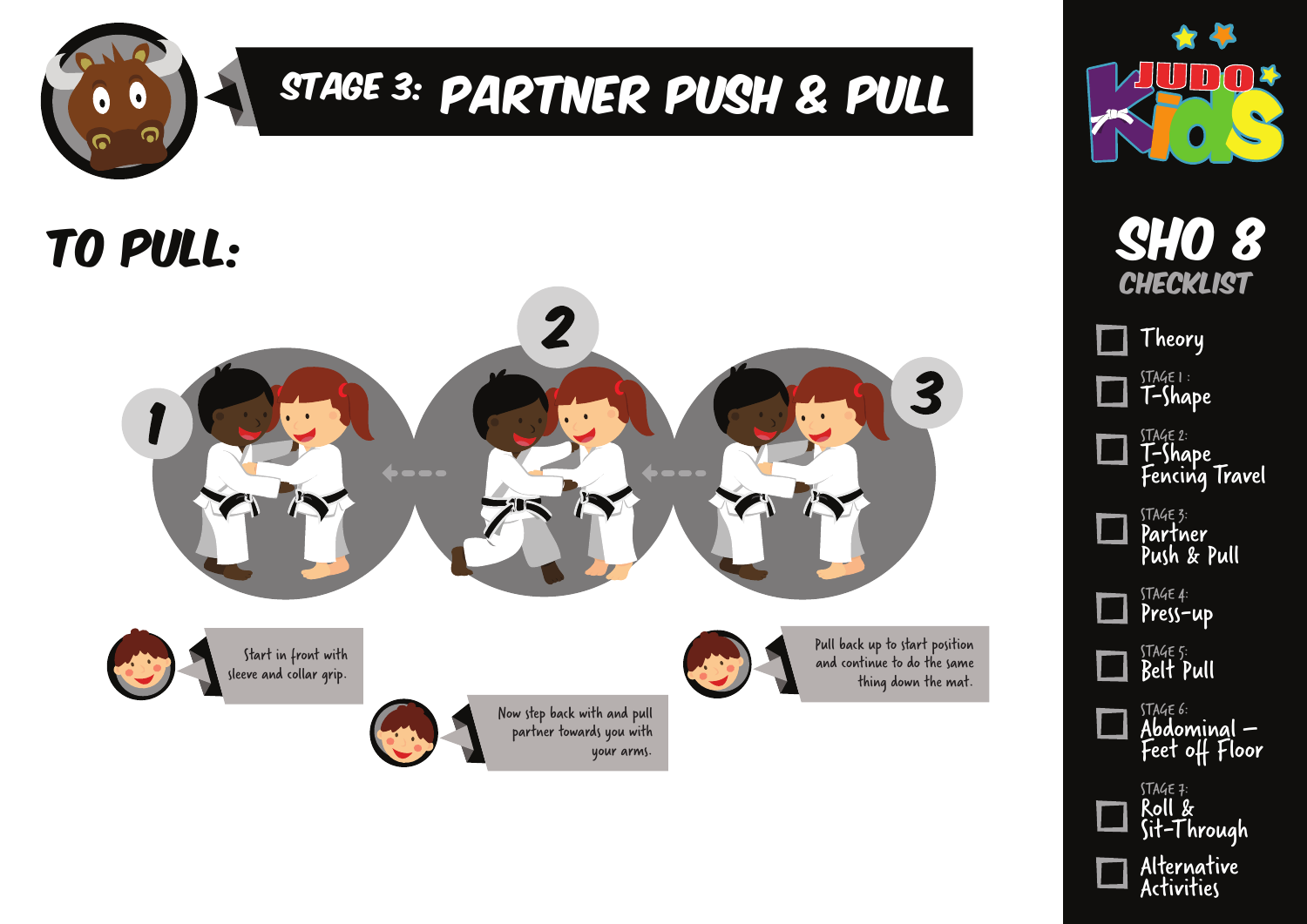

# Stage 3: Partner PUsh & Pull

### to Pull: Sho 8





**CHECKLIST** 

STAGE 1 : T-Shape STAGE 2: T-Shape Fencing Travel STAGE 3: Theory

Partner Push & Pull

| Press-un |
|----------|
|          |

STAGE 5: Belt Pull

STAGE 6: Abdominal – Feet off Floor



Sit-Through

| Alternative |
|-------------|
| Activities  |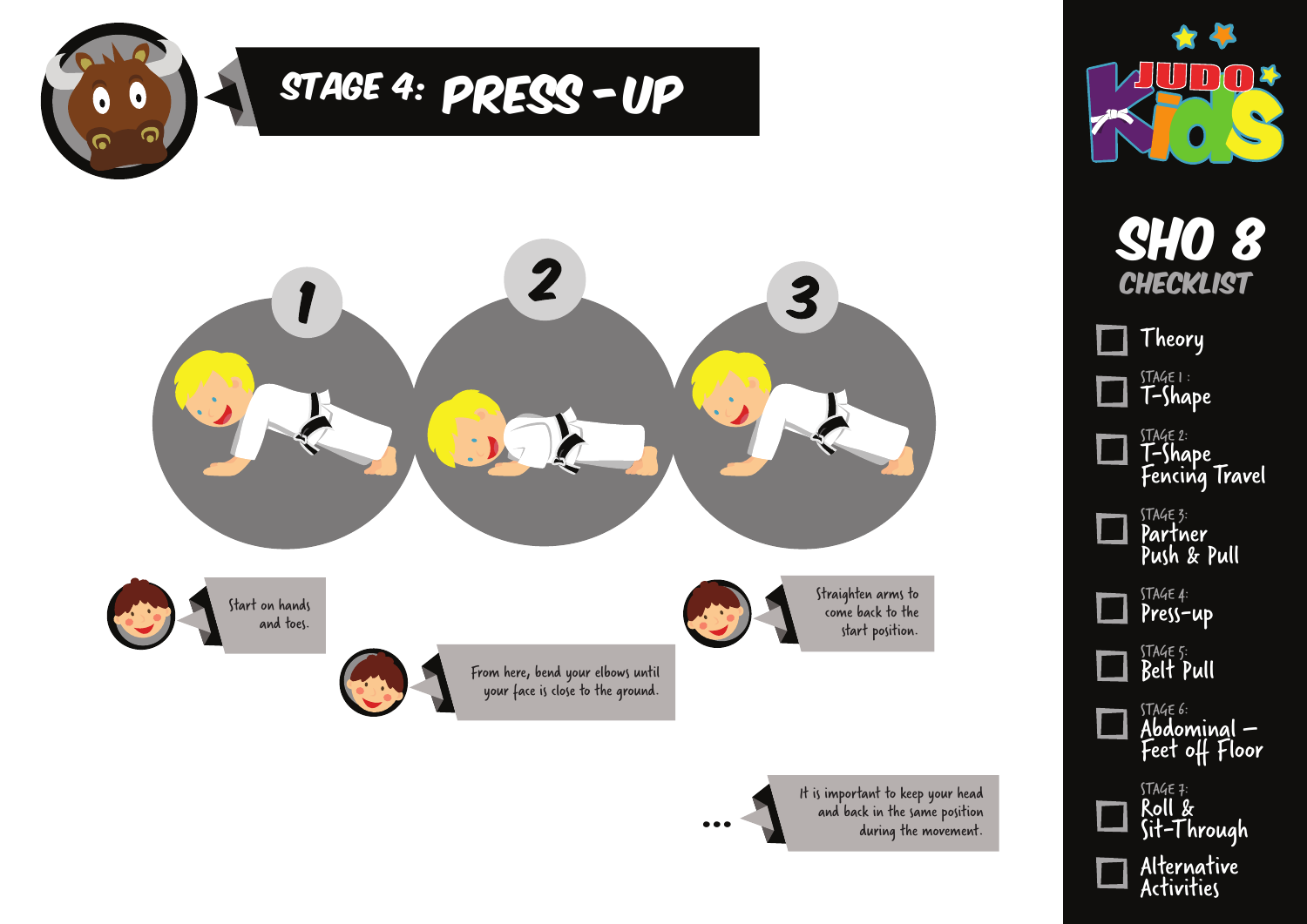



Activities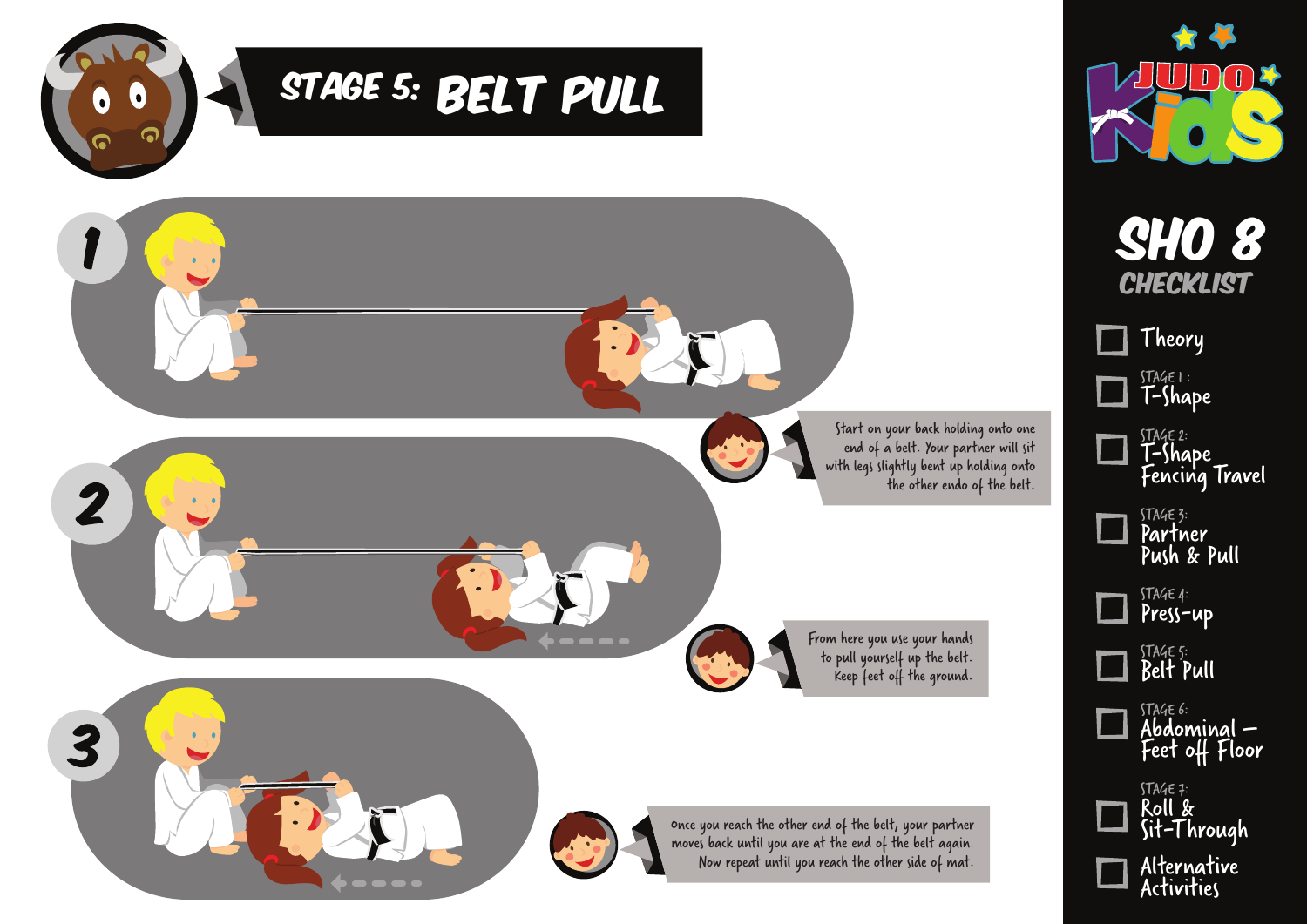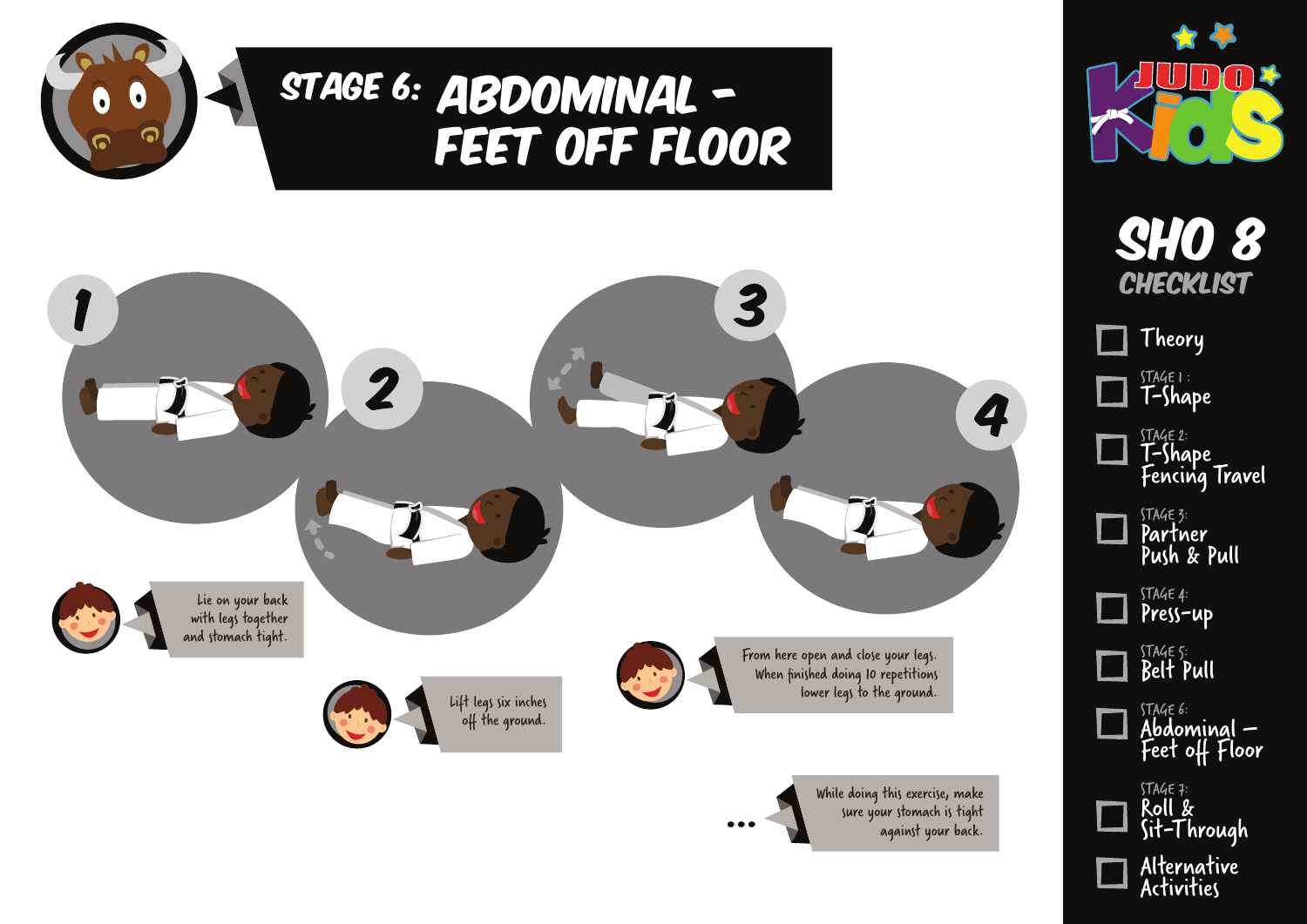